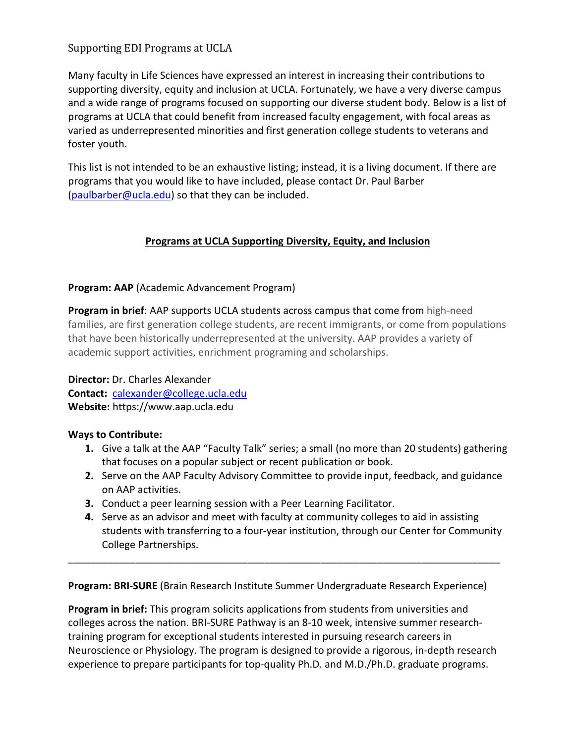# Supporting EDI Programs at UCLA

Many faculty in Life Sciences have expressed an interest in increasing their contributions to supporting diversity, equity and inclusion at UCLA. Fortunately, we have a very diverse campus and a wide range of programs focused on supporting our diverse student body. Below is a list of programs at UCLA that could benefit from increased faculty engagement, with focal areas as varied as underrepresented minorities and first generation college students to veterans and foster youth.

This list is not intended to be an exhaustive listing; instead, it is a living document. If there are programs that you would like to have included, please contact Dr. Paul Barber (paulbarber@ucla.edu) so that they can be included.

## **Programs at UCLA Supporting Diversity, Equity, and Inclusion**

## **Program: AAP** (Academic Advancement Program)

**Program in brief**: AAP supports UCLA students across campus that come from high-need families, are first generation college students, are recent immigrants, or come from populations that have been historically underrepresented at the university. AAP provides a variety of academic support activities, enrichment programing and scholarships.

**Director:** Dr. Charles Alexander **Contact:** calexander@college.ucla.edu **Website:** https://www.aap.ucla.edu

### **Ways to Contribute:**

- **1.** Give a talk at the AAP "Faculty Talk" series; a small (no more than 20 students) gathering that focuses on a popular subject or recent publication or book.
- **2.** Serve on the AAP Faculty Advisory Committee to provide input, feedback, and guidance on AAP activities.
- **3.** Conduct a peer learning session with a Peer Learning Facilitator.
- **4.** Serve as an advisor and meet with faculty at community colleges to aid in assisting students with transferring to a four-year institution, through our Center for Community College Partnerships.

**Program: BRI-SURE** (Brain Research Institute Summer Undergraduate Research Experience)

\_\_\_\_\_\_\_\_\_\_\_\_\_\_\_\_\_\_\_\_\_\_\_\_\_\_\_\_\_\_\_\_\_\_\_\_\_\_\_\_\_\_\_\_\_\_\_\_\_\_\_\_\_\_\_\_\_\_\_\_\_\_\_\_\_\_\_\_\_\_\_\_\_\_\_\_\_

**Program in brief:** This program solicits applications from students from universities and colleges across the nation. BRI-SURE Pathway is an 8-10 week, intensive summer researchtraining program for exceptional students interested in pursuing research careers in Neuroscience or Physiology. The program is designed to provide a rigorous, in-depth research experience to prepare participants for top-quality Ph.D. and M.D./Ph.D. graduate programs.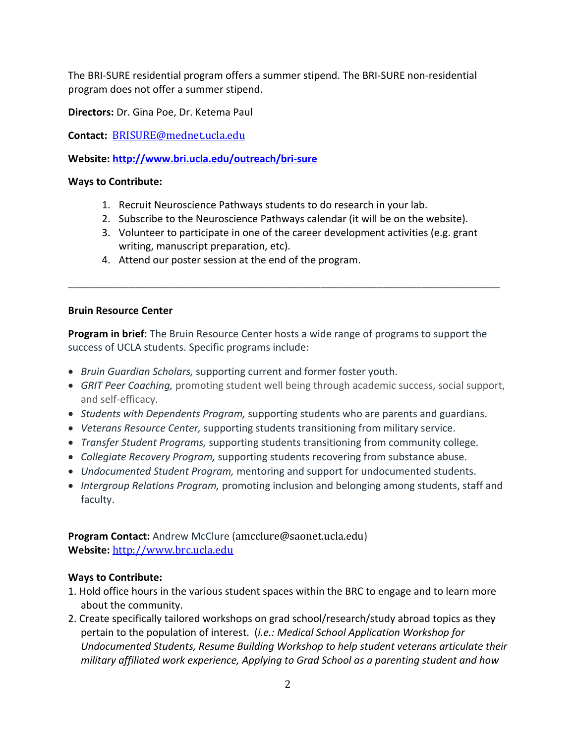The BRI-SURE residential program offers a summer stipend. The BRI-SURE non-residential program does not offer a summer stipend.

**Directors:** Dr. Gina Poe, Dr. Ketema Paul

**Contact:** BRISURE@mednet.ucla.edu

**Website: http://www.bri.ucla.edu/outreach/bri-sure**

### **Ways to Contribute:**

- 1. Recruit Neuroscience Pathways students to do research in your lab.
- 2. Subscribe to the Neuroscience Pathways calendar (it will be on the website).

\_\_\_\_\_\_\_\_\_\_\_\_\_\_\_\_\_\_\_\_\_\_\_\_\_\_\_\_\_\_\_\_\_\_\_\_\_\_\_\_\_\_\_\_\_\_\_\_\_\_\_\_\_\_\_\_\_\_\_\_\_\_\_\_\_\_\_\_\_\_\_\_\_\_\_\_\_

- 3. Volunteer to participate in one of the career development activities (e.g. grant writing, manuscript preparation, etc).
- 4. Attend our poster session at the end of the program.

### **Bruin Resource Center**

**Program in brief**: The Bruin Resource Center hosts a wide range of programs to support the success of UCLA students. Specific programs include:

- *Bruin Guardian Scholars,* supporting current and former foster youth.
- *GRIT Peer Coaching,* promoting student well being through academic success, social support, and self-efficacy.
- *Students with Dependents Program,* supporting students who are parents and guardians.
- *Veterans Resource Center,* supporting students transitioning from military service.
- *Transfer Student Programs,* supporting students transitioning from community college.
- *Collegiate Recovery Program,* supporting students recovering from substance abuse.
- *Undocumented Student Program,* mentoring and support for undocumented students.
- *Intergroup Relations Program,* promoting inclusion and belonging among students, staff and faculty.

**Program Contact:** Andrew McClure (amcclure@saonet.ucla.edu) **Website:** http://www.brc.ucla.edu

- 1. Hold office hours in the various student spaces within the BRC to engage and to learn more about the community.
- 2. Create specifically tailored workshops on grad school/research/study abroad topics as they pertain to the population of interest. (*i.e.: Medical School Application Workshop for Undocumented Students, Resume Building Workshop to help student veterans articulate their military affiliated work experience, Applying to Grad School as a parenting student and how*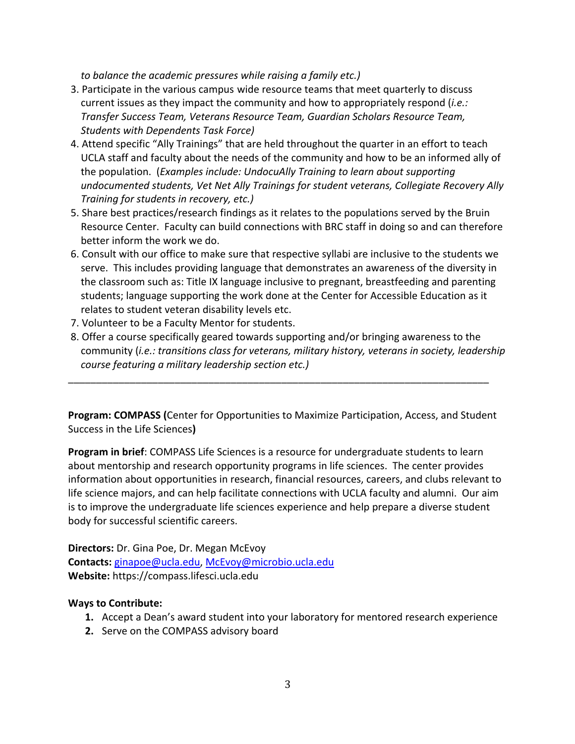*to balance the academic pressures while raising a family etc.)*

- 3. Participate in the various campus wide resource teams that meet quarterly to discuss current issues as they impact the community and how to appropriately respond (*i.e.: Transfer Success Team, Veterans Resource Team, Guardian Scholars Resource Team, Students with Dependents Task Force)*
- 4. Attend specific "Ally Trainings" that are held throughout the quarter in an effort to teach UCLA staff and faculty about the needs of the community and how to be an informed ally of the population. (*Examples include: UndocuAlly Training to learn about supporting undocumented students, Vet Net Ally Trainings for student veterans, Collegiate Recovery Ally Training for students in recovery, etc.)*
- 5. Share best practices/research findings as it relates to the populations served by the Bruin Resource Center. Faculty can build connections with BRC staff in doing so and can therefore better inform the work we do.
- 6. Consult with our office to make sure that respective syllabi are inclusive to the students we serve. This includes providing language that demonstrates an awareness of the diversity in the classroom such as: Title IX language inclusive to pregnant, breastfeeding and parenting students; language supporting the work done at the Center for Accessible Education as it relates to student veteran disability levels etc.
- 7. Volunteer to be a Faculty Mentor for students.
- 8. Offer a course specifically geared towards supporting and/or bringing awareness to the community (*i.e.: transitions class for veterans, military history, veterans in society, leadership course featuring a military leadership section etc.)*

**Program: COMPASS (**Center for Opportunities to Maximize Participation, Access, and Student Success in the Life Sciences**)**

\_\_\_\_\_\_\_\_\_\_\_\_\_\_\_\_\_\_\_\_\_\_\_\_\_\_\_\_\_\_\_\_\_\_\_\_\_\_\_\_\_\_\_\_\_\_\_\_\_\_\_\_\_\_\_\_\_\_\_\_\_\_\_\_\_\_\_\_\_\_\_\_\_\_\_

**Program in brief**: COMPASS Life Sciences is a resource for undergraduate students to learn about mentorship and research opportunity programs in life sciences. The center provides information about opportunities in research, financial resources, careers, and clubs relevant to life science majors, and can help facilitate connections with UCLA faculty and alumni. Our aim is to improve the undergraduate life sciences experience and help prepare a diverse student body for successful scientific careers.

**Directors:** Dr. Gina Poe, Dr. Megan McEvoy **Contacts:** ginapoe@ucla.edu, McEvoy@microbio.ucla.edu **Website:** https://compass.lifesci.ucla.edu

- **1.** Accept a Dean's award student into your laboratory for mentored research experience
- **2.** Serve on the COMPASS advisory board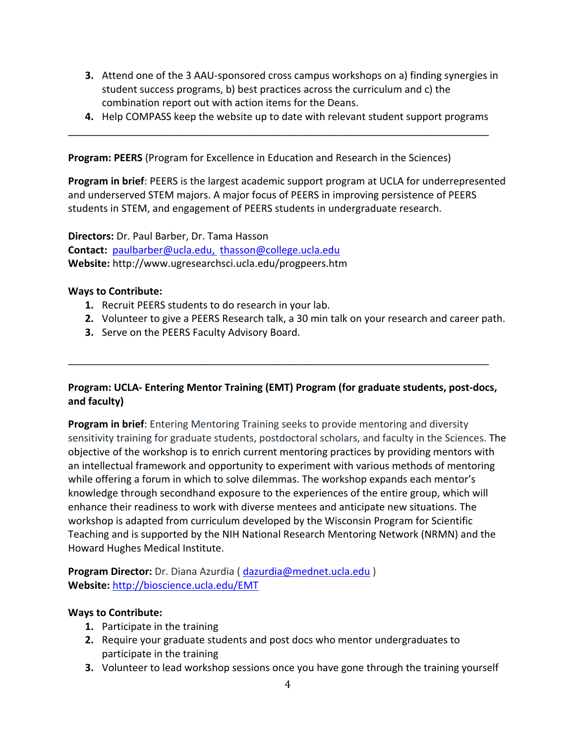- **3.** Attend one of the 3 AAU-sponsored cross campus workshops on a) finding synergies in student success programs, b) best practices across the curriculum and c) the combination report out with action items for the Deans.
- **4.** Help COMPASS keep the website up to date with relevant student support programs

\_\_\_\_\_\_\_\_\_\_\_\_\_\_\_\_\_\_\_\_\_\_\_\_\_\_\_\_\_\_\_\_\_\_\_\_\_\_\_\_\_\_\_\_\_\_\_\_\_\_\_\_\_\_\_\_\_\_\_\_\_\_\_\_\_\_\_\_\_\_\_\_\_\_\_

**Program: PEERS** (Program for Excellence in Education and Research in the Sciences)

**Program in brief**: PEERS is the largest academic support program at UCLA for underrepresented and underserved STEM majors. A major focus of PEERS in improving persistence of PEERS students in STEM, and engagement of PEERS students in undergraduate research.

**Directors:** Dr. Paul Barber, Dr. Tama Hasson **Contact:** paulbarber@ucla.edu, thasson@college.ucla.edu **Website:** http://www.ugresearchsci.ucla.edu/progpeers.htm

#### **Ways to Contribute:**

- **1.** Recruit PEERS students to do research in your lab.
- **2.** Volunteer to give a PEERS Research talk, a 30 min talk on your research and career path.
- **3.** Serve on the PEERS Faculty Advisory Board.

## **Program: UCLA- Entering Mentor Training (EMT) Program (for graduate students, post-docs, and faculty)**

\_\_\_\_\_\_\_\_\_\_\_\_\_\_\_\_\_\_\_\_\_\_\_\_\_\_\_\_\_\_\_\_\_\_\_\_\_\_\_\_\_\_\_\_\_\_\_\_\_\_\_\_\_\_\_\_\_\_\_\_\_\_\_\_\_\_\_\_\_\_\_\_\_\_\_

**Program in brief**: Entering Mentoring Training seeks to provide mentoring and diversity sensitivity training for graduate students, postdoctoral scholars, and faculty in the Sciences. The objective of the workshop is to enrich current mentoring practices by providing mentors with an intellectual framework and opportunity to experiment with various methods of mentoring while offering a forum in which to solve dilemmas. The workshop expands each mentor's knowledge through secondhand exposure to the experiences of the entire group, which will enhance their readiness to work with diverse mentees and anticipate new situations. The workshop is adapted from curriculum developed by the Wisconsin Program for Scientific Teaching and is supported by the NIH National Research Mentoring Network (NRMN) and the Howard Hughes Medical Institute.

**Program Director:** Dr. Diana Azurdia ( dazurdia@mednet.ucla.edu ) **Website:** http://bioscience.ucla.edu/EMT

- **1.** Participate in the training
- **2.** Require your graduate students and post docs who mentor undergraduates to participate in the training
- **3.** Volunteer to lead workshop sessions once you have gone through the training yourself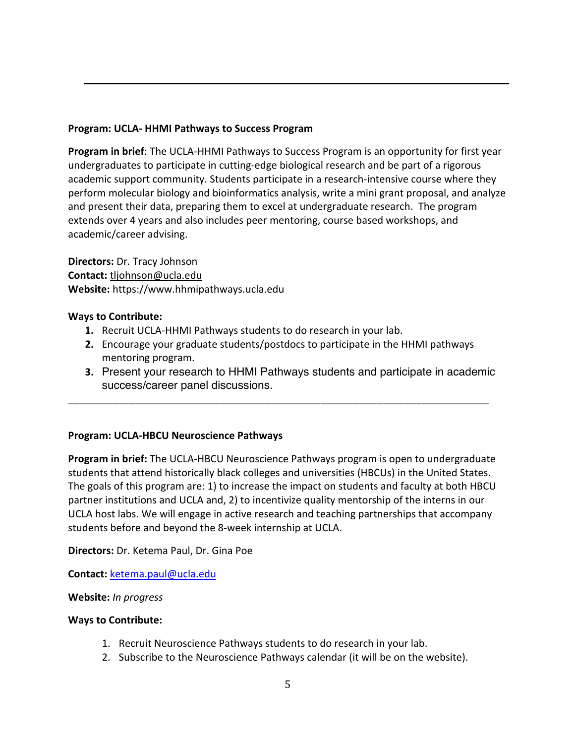## **Program: UCLA- HHMI Pathways to Success Program**

**Program in brief**: The UCLA-HHMI Pathways to Success Program is an opportunity for first year undergraduates to participate in cutting-edge biological research and be part of a rigorous academic support community. Students participate in a research-intensive course where they perform molecular biology and bioinformatics analysis, write a mini grant proposal, and analyze and present their data, preparing them to excel at undergraduate research. The program extends over 4 years and also includes peer mentoring, course based workshops, and academic/career advising.

**Directors:** Dr. Tracy Johnson **Contact:** tljohnson@ucla.edu **Website:** https://www.hhmipathways.ucla.edu

### **Ways to Contribute:**

- **1.** Recruit UCLA-HHMI Pathways students to do research in your lab.
- **2.** Encourage your graduate students/postdocs to participate in the HHMI pathways mentoring program.

\_\_\_\_\_\_\_\_\_\_\_\_\_\_\_\_\_\_\_\_\_\_\_\_\_\_\_\_\_\_\_\_\_\_\_\_\_\_\_\_\_\_\_\_\_\_\_\_\_\_\_\_\_\_\_\_\_\_\_\_\_\_\_\_\_\_\_\_\_\_\_\_\_\_\_

**3.** Present your research to HHMI Pathways students and participate in academic success/career panel discussions.

### **Program: UCLA-HBCU Neuroscience Pathways**

**Program in brief:** The UCLA-HBCU Neuroscience Pathways program is open to undergraduate students that attend historically black colleges and universities (HBCUs) in the United States. The goals of this program are: 1) to increase the impact on students and faculty at both HBCU partner institutions and UCLA and, 2) to incentivize quality mentorship of the interns in our UCLA host labs. We will engage in active research and teaching partnerships that accompany students before and beyond the 8-week internship at UCLA.

**Directors:** Dr. Ketema Paul, Dr. Gina Poe

**Contact:** ketema.paul@ucla.edu

### **Website:** *In progress*

- 1. Recruit Neuroscience Pathways students to do research in your lab.
- 2. Subscribe to the Neuroscience Pathways calendar (it will be on the website).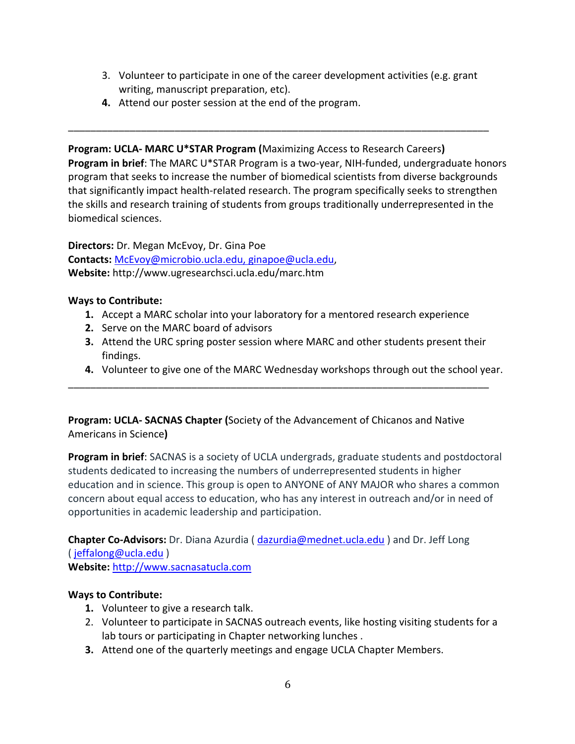3. Volunteer to participate in one of the career development activities (e.g. grant writing, manuscript preparation, etc).

\_\_\_\_\_\_\_\_\_\_\_\_\_\_\_\_\_\_\_\_\_\_\_\_\_\_\_\_\_\_\_\_\_\_\_\_\_\_\_\_\_\_\_\_\_\_\_\_\_\_\_\_\_\_\_\_\_\_\_\_\_\_\_\_\_\_\_\_\_\_\_\_\_\_\_

**4.** Attend our poster session at the end of the program.

**Program: UCLA- MARC U\*STAR Program (**Maximizing Access to Research Careers**) Program in brief**: The MARC U\*STAR Program is a two-year, NIH-funded, undergraduate honors program that seeks to increase the number of biomedical scientists from diverse backgrounds that significantly impact health-related research. The program specifically seeks to strengthen the skills and research training of students from groups traditionally underrepresented in the biomedical sciences.

**Directors:** Dr. Megan McEvoy, Dr. Gina Poe **Contacts:** McEvoy@microbio.ucla.edu, ginapoe@ucla.edu, **Website:** http://www.ugresearchsci.ucla.edu/marc.htm

### **Ways to Contribute:**

**1.** Accept a MARC scholar into your laboratory for a mentored research experience

\_\_\_\_\_\_\_\_\_\_\_\_\_\_\_\_\_\_\_\_\_\_\_\_\_\_\_\_\_\_\_\_\_\_\_\_\_\_\_\_\_\_\_\_\_\_\_\_\_\_\_\_\_\_\_\_\_\_\_\_\_\_\_\_\_\_\_\_\_\_\_\_\_\_\_

- **2.** Serve on the MARC board of advisors
- **3.** Attend the URC spring poster session where MARC and other students present their findings.
- **4.** Volunteer to give one of the MARC Wednesday workshops through out the school year.

**Program: UCLA- SACNAS Chapter (**Society of the Advancement of Chicanos and Native Americans in Science**)**

**Program in brief**: SACNAS is a society of UCLA undergrads, graduate students and postdoctoral students dedicated to increasing the numbers of underrepresented students in higher education and in science. This group is open to ANYONE of ANY MAJOR who shares a common concern about equal access to education, who has any interest in outreach and/or in need of opportunities in academic leadership and participation.

**Chapter Co-Advisors:** Dr. Diana Azurdia ( dazurdia@mednet.ucla.edu ) and Dr. Jeff Long ( jeffalong@ucla.edu )

**Website:** http://www.sacnasatucla.com

- **1.** Volunteer to give a research talk.
- 2. Volunteer to participate in SACNAS outreach events, like hosting visiting students for a lab tours or participating in Chapter networking lunches .
- **3.** Attend one of the quarterly meetings and engage UCLA Chapter Members.